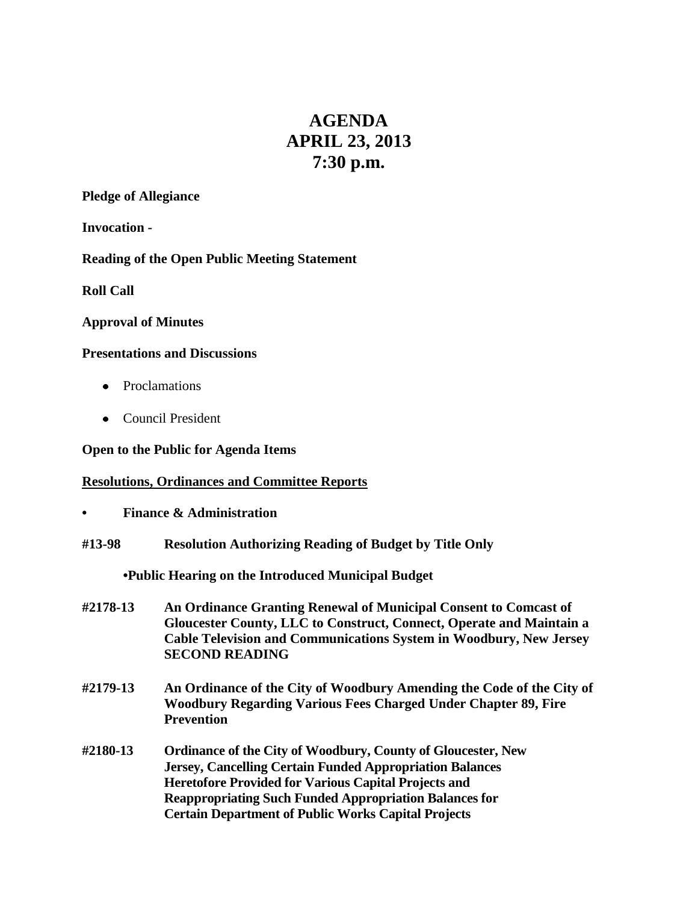# **AGENDA APRIL 23, 2013 7:30 p.m.**

## **Pledge of Allegiance**

**Invocation -**

# **Reading of the Open Public Meeting Statement**

**Roll Call**

## **Approval of Minutes**

## **Presentations and Discussions**

- Proclamations
- Council President

## **Open to the Public for Agenda Items**

# **Resolutions, Ordinances and Committee Reports**

- **• Finance & Administration**
- **#13-98 Resolution Authorizing Reading of Budget by Title Only**

**•Public Hearing on the Introduced Municipal Budget**

- **#2178-13 An Ordinance Granting Renewal of Municipal Consent to Comcast of Gloucester County, LLC to Construct, Connect, Operate and Maintain a Cable Television and Communications System in Woodbury, New Jersey SECOND READING**
- **#2179-13 An Ordinance of the City of Woodbury Amending the Code of the City of Woodbury Regarding Various Fees Charged Under Chapter 89, Fire Prevention**
- **#2180-13 Ordinance of the City of Woodbury, County of Gloucester, New Jersey, Cancelling Certain Funded Appropriation Balances Heretofore Provided for Various Capital Projects and Reappropriating Such Funded Appropriation Balances for Certain Department of Public Works Capital Projects**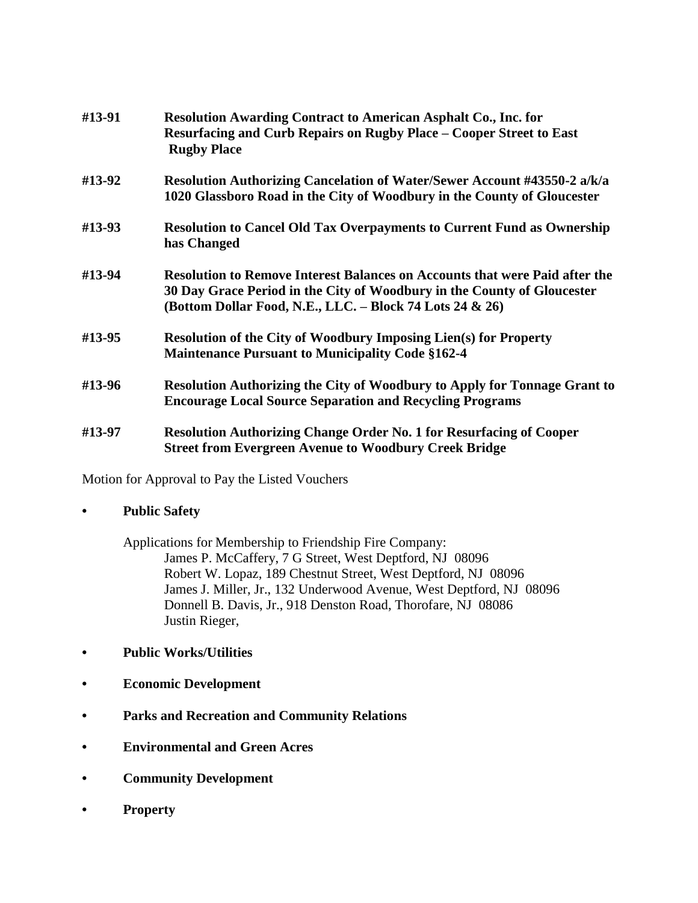| #13-91 | <b>Resolution Awarding Contract to American Asphalt Co., Inc. for</b><br>Resurfacing and Curb Repairs on Rugby Place – Cooper Street to East<br><b>Rugby Place</b>                                                        |
|--------|---------------------------------------------------------------------------------------------------------------------------------------------------------------------------------------------------------------------------|
| #13-92 | Resolution Authorizing Cancelation of Water/Sewer Account #43550-2 a/k/a<br>1020 Glassboro Road in the City of Woodbury in the County of Gloucester                                                                       |
| #13-93 | <b>Resolution to Cancel Old Tax Overpayments to Current Fund as Ownership</b><br>has Changed                                                                                                                              |
| #13-94 | <b>Resolution to Remove Interest Balances on Accounts that were Paid after the</b><br>30 Day Grace Period in the City of Woodbury in the County of Gloucester<br>(Bottom Dollar Food, N.E., LLC. - Block 74 Lots 24 & 26) |
| #13-95 | <b>Resolution of the City of Woodbury Imposing Lien(s) for Property</b><br><b>Maintenance Pursuant to Municipality Code §162-4</b>                                                                                        |
| #13-96 | <b>Resolution Authorizing the City of Woodbury to Apply for Tonnage Grant to</b><br><b>Encourage Local Source Separation and Recycling Programs</b>                                                                       |
| #13-97 | Resolution Authorizing Change Order No. 1 for Resurfacing of Cooper<br><b>Street from Evergreen Avenue to Woodbury Creek Bridge</b>                                                                                       |

Motion for Approval to Pay the Listed Vouchers

#### **• Public Safety**

Applications for Membership to Friendship Fire Company: James P. McCaffery, 7 G Street, West Deptford, NJ 08096 Robert W. Lopaz, 189 Chestnut Street, West Deptford, NJ 08096 James J. Miller, Jr., 132 Underwood Avenue, West Deptford, NJ 08096 Donnell B. Davis, Jr., 918 Denston Road, Thorofare, NJ 08086 Justin Rieger,

- **• Public Works/Utilities**
- **• Economic Development**
- **• Parks and Recreation and Community Relations**
- **• Environmental and Green Acres**
- **• Community Development**
- **• Property**